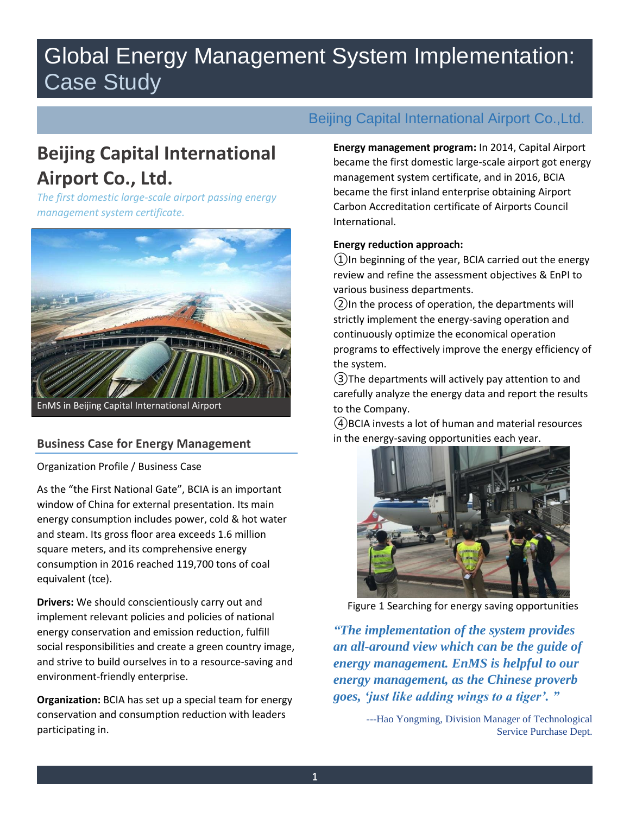# Global Energy Management System Implementation: Case Study

## **Beijing Capital International Airport Co., Ltd.**

*The first domestic large-scale airport passing energy management system certificate.* 



## **Business Case for Energy Management**

Organization Profile / Business Case

As the "the First National Gate", BCIA is an important window of China for external presentation. Its main energy consumption includes power, cold & hot water and steam. Its gross floor area exceeds 1.6 million square meters, and its comprehensive energy consumption in 2016 reached 119,700 tons of coal equivalent (tce).

**Drivers:** We should conscientiously carry out and implement relevant policies and policies of national energy conservation and emission reduction, fulfill social responsibilities and create a green country image, and strive to build ourselves in to a resource-saving and environment-friendly enterprise.

**Organization:** BCIA has set up a special team for energy conservation and consumption reduction with leaders participating in.

## Beijing Capital International Airport Co.,Ltd.

**Energy management program:** In 2014, Capital Airport became the first domestic large-scale airport got energy management system certificate, and in 2016, BCIA became the first inland enterprise obtaining Airport Carbon Accreditation certificate of Airports Council International.

## **Energy reduction approach:**

 $(1)$ In beginning of the year, BCIA carried out the energy review and refine the assessment objectives & EnPI to various business departments.

②In the process of operation, the departments will strictly implement the energy-saving operation and continuously optimize the economical operation programs to effectively improve the energy efficiency of the system.

③The departments will actively pay attention to and carefully analyze the energy data and report the results to the Company.

④BCIA invests a lot of human and material resources in the energy-saving opportunities each year.



Figure 1 Searching for energy saving opportunities

*"The implementation of the system provides an all-around view which can be the guide of energy management. EnMS is helpful to our energy management, as the Chinese proverb goes, 'just like adding wings to a tiger'. "*

> ---Hao Yongming, Division Manager of Technological Service Purchase Dept.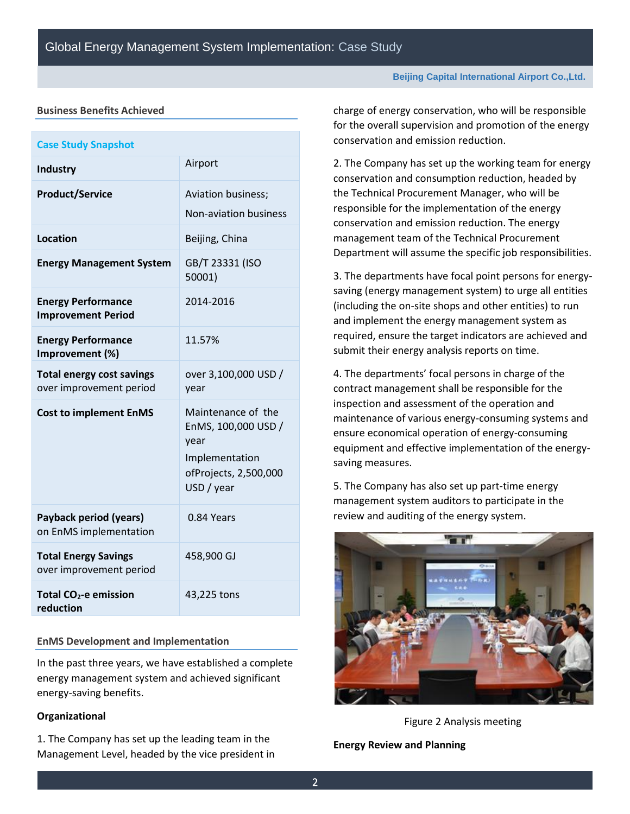### **Business Benefits Achieved**

| <b>Case Study Snapshot</b>                                  |                                                                                                            |
|-------------------------------------------------------------|------------------------------------------------------------------------------------------------------------|
| <b>Industry</b>                                             | Airport                                                                                                    |
| <b>Product/Service</b>                                      | Aviation business;                                                                                         |
|                                                             | Non-aviation business                                                                                      |
| <b>Location</b>                                             | Beijing, China                                                                                             |
| <b>Energy Management System</b>                             | GB/T 23331 (ISO<br>50001)                                                                                  |
| <b>Energy Performance</b><br><b>Improvement Period</b>      | 2014-2016                                                                                                  |
| <b>Energy Performance</b><br>Improvement (%)                | 11.57%                                                                                                     |
| <b>Total energy cost savings</b><br>over improvement period | over 3,100,000 USD /<br>year                                                                               |
| <b>Cost to implement EnMS</b>                               | Maintenance of the<br>EnMS, 100,000 USD /<br>year<br>Implementation<br>ofProjects, 2,500,000<br>USD / year |
| <b>Payback period (years)</b><br>on EnMS implementation     | 0.84 Years                                                                                                 |
| <b>Total Energy Savings</b><br>over improvement period      | 458,900 GJ                                                                                                 |
| Total CO <sub>2</sub> -e emission<br>reduction              | 43,225 tons                                                                                                |

### **EnMS Development and Implementation**

In the past three years, we have established a complete energy management system and achieved significant energy-saving benefits.

#### **Organizational**

1. The Company has set up the leading team in the Management Level, headed by the vice president in **Beijing Capital International Airport Co.,Ltd.**

charge of energy conservation, who will be responsible for the overall supervision and promotion of the energy conservation and emission reduction.

2. The Company has set up the working team for energy conservation and consumption reduction, headed by the Technical Procurement Manager, who will be responsible for the implementation of the energy conservation and emission reduction. The energy management team of the Technical Procurement Department will assume the specific job responsibilities.

3. The departments have focal point persons for energysaving (energy management system) to urge all entities (including the on-site shops and other entities) to run and implement the energy management system as required, ensure the target indicators are achieved and submit their energy analysis reports on time.

4. The departments' focal persons in charge of the contract management shall be responsible for the inspection and assessment of the operation and maintenance of various energy-consuming systems and ensure economical operation of energy-consuming equipment and effective implementation of the energysaving measures.

5. The Company has also set up part-time energy management system auditors to participate in the review and auditing of the energy system.



Figure 2 Analysis meeting

**Energy Review and Planning**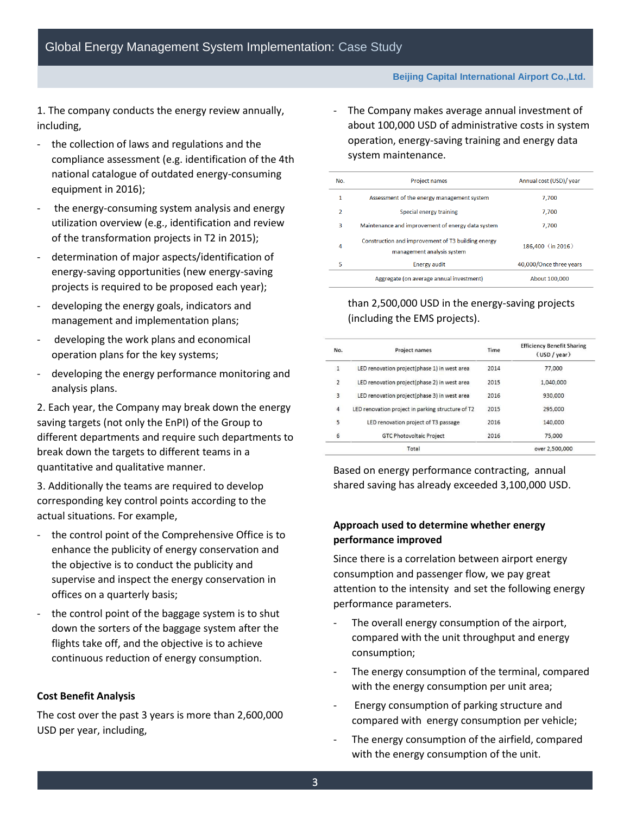1. The company conducts the energy review annually, including,

- the collection of laws and regulations and the compliance assessment (e.g. identification of the 4th national catalogue of outdated energy-consuming equipment in 2016);
- the energy-consuming system analysis and energy utilization overview (e.g., identification and review of the transformation projects in T2 in 2015);
- determination of major aspects/identification of energy-saving opportunities (new energy-saving projects is required to be proposed each year);
- developing the energy goals, indicators and management and implementation plans;
- developing the work plans and economical operation plans for the key systems;
- developing the energy performance monitoring and analysis plans.

2. Each year, the Company may break down the energy saving targets (not only the EnPI) of the Group to different departments and require such departments to break down the targets to different teams in a quantitative and qualitative manner.

3. Additionally the teams are required to develop corresponding key control points according to the actual situations. For example,

- the control point of the Comprehensive Office is to enhance the publicity of energy conservation and the objective is to conduct the publicity and supervise and inspect the energy conservation in offices on a quarterly basis;
- the control point of the baggage system is to shut down the sorters of the baggage system after the flights take off, and the objective is to achieve continuous reduction of energy consumption.

#### **Cost Benefit Analysis**

The cost over the past 3 years is more than 2,600,000 USD per year, including,

The Company makes average annual investment of about 100,000 USD of administrative costs in system operation, energy-saving training and energy data system maintenance.

| No.           | <b>Project names</b>                                                             | Annual cost (USD)/ year |
|---------------|----------------------------------------------------------------------------------|-------------------------|
| 1             | Assessment of the energy management system                                       | 7.700                   |
| $\mathcal{P}$ | Special energy training                                                          | 7,700                   |
| 3             | Maintenance and improvement of energy data system                                | 7,700                   |
| 4             | Construction and improvement of T3 building energy<br>management analysis system | 186,400 (in 2016)       |
| 5             | <b>Energy audit</b>                                                              | 40.000/Once three years |
|               | Aggregate (on average annual investment)                                         | About 100,000           |

## than 2,500,000 USD in the energy-saving projects (including the EMS projects).

- The Company makes an annual investment of more

| No.            | <b>Project names</b>                              | Time | <b>Efficiency Benefit Sharing</b><br>(USD / year) |
|----------------|---------------------------------------------------|------|---------------------------------------------------|
| $\mathbf{1}$   | LED renovation project(phase 1) in west area      | 2014 | 77,000                                            |
| $\overline{2}$ | LED renovation project(phase 2) in west area      | 2015 | 1.040.000                                         |
| 3              | LED renovation project(phase 3) in west area      | 2016 | 930,000                                           |
| 4              | LED renovation project in parking structure of T2 | 2015 | 295.000                                           |
| 5              | LED renovation project of T3 passage              | 2016 | 140,000                                           |
| 6              | <b>GTC Photovoltaic Project</b>                   | 2016 | 75,000                                            |
|                | Total                                             |      | over 2,500,000                                    |

Based on energy performance contracting, annual shared saving has already exceeded 3,100,000 USD.

## **Approach used to determine whether energy performance improved**

Since there is a correlation between airport energy consumption and passenger flow, we pay great attention to the intensity and set the following energy performance parameters.

- The overall energy consumption of the airport, compared with the unit throughput and energy consumption;
- The energy consumption of the terminal, compared with the energy consumption per unit area;
- Energy consumption of parking structure and compared with energy consumption per vehicle;
- The energy consumption of the airfield, compared with the energy consumption of the unit.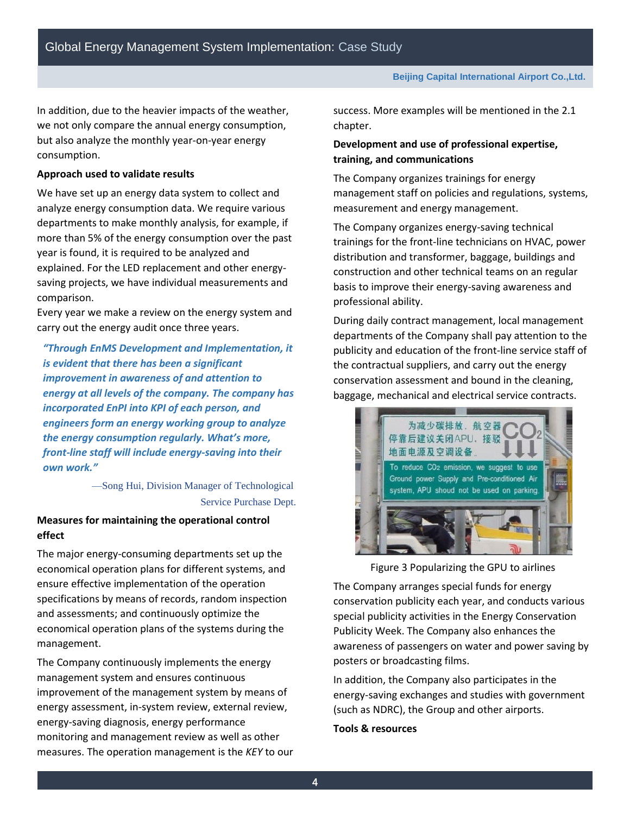In addition, due to the heavier impacts of the weather, we not only compare the annual energy consumption, but also analyze the monthly year-on-year energy consumption.

### **Approach used to validate results**

We have set up an energy data system to collect and analyze energy consumption data. We require various departments to make monthly analysis, for example, if more than 5% of the energy consumption over the past year is found, it is required to be analyzed and explained. For the LED replacement and other energysaving projects, we have individual measurements and comparison.

Every year we make a review on the energy system and carry out the energy audit once three years.

*"Through EnMS Development and Implementation, it is evident that there has been a significant improvement in awareness of and attention to energy at all levels of the company. The company has incorporated EnPI into KPI of each person, and engineers form an energy working group to analyze the energy consumption regularly. What's more, front-line staff will include energy-saving into their own work."*

> —Song Hui, Division Manager of Technological Service Purchase Dept.

## **Measures for maintaining the operational control effect**

The major energy-consuming departments set up the economical operation plans for different systems, and ensure effective implementation of the operation specifications by means of records, random inspection and assessments; and continuously optimize the economical operation plans of the systems during the management.

The Company continuously implements the energy management system and ensures continuous improvement of the management system by means of energy assessment, in-system review, external review, energy-saving diagnosis, energy performance monitoring and management review as well as other measures. The operation management is the *KEY* to our success. More examples will be mentioned in the 2.1 chapter.

## **Development and use of professional expertise, training, and communications**

The Company organizes trainings for energy management staff on policies and regulations, systems, measurement and energy management.

The Company organizes energy-saving technical trainings for the front-line technicians on HVAC, power distribution and transformer, baggage, buildings and construction and other technical teams on an regular basis to improve their energy-saving awareness and professional ability.

During daily contract management, local management departments of the Company shall pay attention to the publicity and education of the front-line service staff of the contractual suppliers, and carry out the energy conservation assessment and bound in the cleaning, baggage, mechanical and electrical service contracts.



Figure 3 Popularizing the GPU to airlines

The Company arranges special funds for energy conservation publicity each year, and conducts various special publicity activities in the Energy Conservation Publicity Week. The Company also enhances the awareness of passengers on water and power saving by posters or broadcasting films.

In addition, the Company also participates in the energy-saving exchanges and studies with government (such as NDRC), the Group and other airports.

### **Tools & resources**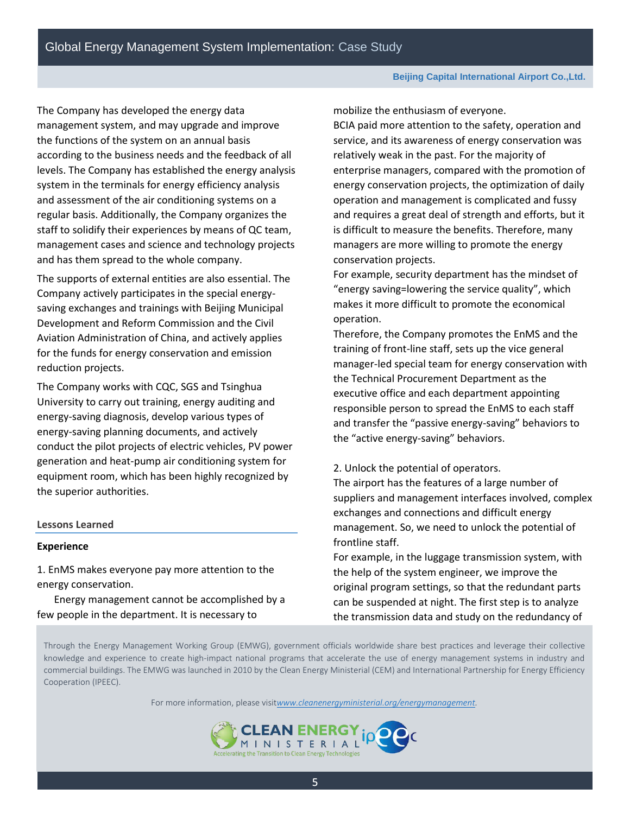The Company has developed the energy data management system, and may upgrade and improve the functions of the system on an annual basis according to the business needs and the feedback of all levels. The Company has established the energy analysis system in the terminals for energy efficiency analysis and assessment of the air conditioning systems on a regular basis. Additionally, the Company organizes the staff to solidify their experiences by means of QC team, management cases and science and technology projects and has them spread to the whole company.

The supports of external entities are also essential. The Company actively participates in the special energysaving exchanges and trainings with Beijing Municipal Development and Reform Commission and the Civil Aviation Administration of China, and actively applies for the funds for energy conservation and emission reduction projects.

The Company works with CQC, SGS and Tsinghua University to carry out training, energy auditing and energy-saving diagnosis, develop various types of energy-saving planning documents, and actively conduct the pilot projects of electric vehicles, PV power generation and heat-pump air conditioning system for equipment room, which has been highly recognized by the superior authorities.

### **Lessons Learned**

#### **Experience**

1. EnMS makes everyone pay more attention to the energy conservation.

Energy management cannot be accomplished by a few people in the department. It is necessary to

mobilize the enthusiasm of everyone.

BCIA paid more attention to the safety, operation and service, and its awareness of energy conservation was relatively weak in the past. For the majority of enterprise managers, compared with the promotion of energy conservation projects, the optimization of daily operation and management is complicated and fussy and requires a great deal of strength and efforts, but it is difficult to measure the benefits. Therefore, many managers are more willing to promote the energy conservation projects.

For example, security department has the mindset of "energy saving=lowering the service quality", which makes it more difficult to promote the economical operation.

Therefore, the Company promotes the EnMS and the training of front-line staff, sets up the vice general manager-led special team for energy conservation with the Technical Procurement Department as the executive office and each department appointing responsible person to spread the EnMS to each staff and transfer the "passive energy-saving" behaviors to the "active energy-saving" behaviors.

#### 2. Unlock the potential of operators.

The airport has the features of a large number of suppliers and management interfaces involved, complex exchanges and connections and difficult energy management. So, we need to unlock the potential of frontline staff.

For example, in the luggage transmission system, with the help of the system engineer, we improve the original program settings, so that the redundant parts can be suspended at night. The first step is to analyze the transmission data and study on the redundancy of

Through the Energy Management Working Group (EMWG), government officials worldwide share best practices and leverage their collective knowledge and experience to create high-impact national programs that accelerate the use of energy management systems in industry and commercial buildings. The EMWG was launched in 2010 by the Clean Energy Ministerial (CEM) and International Partnership for Energy Efficiency Cooperation (IPEEC).

For more information, please visit*[www.cleanenergyministerial.org/energymanagement.](http://www.cleanenergyministerial.org/energymanagement)*